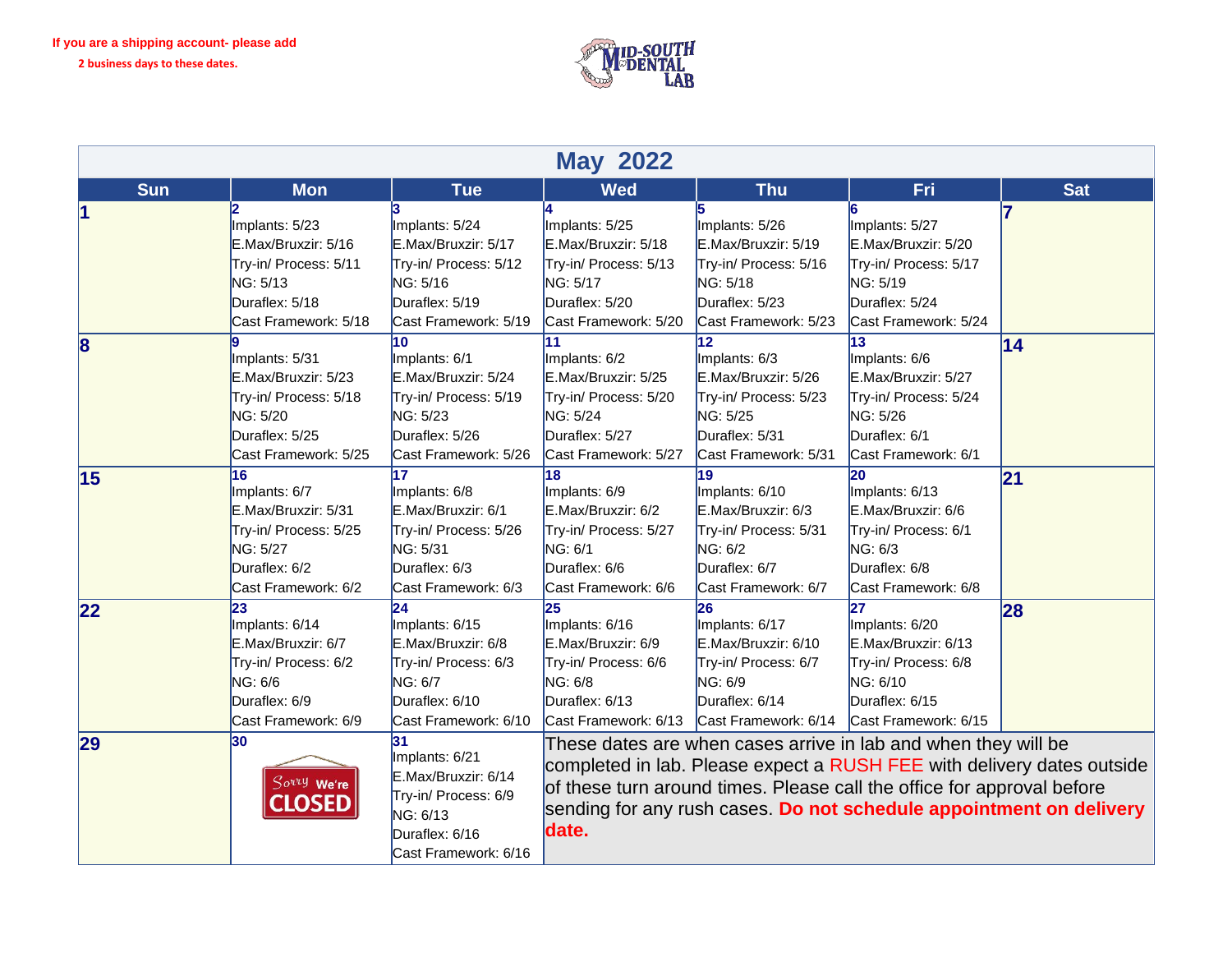

| <b>May 2022</b> |                                                                                                                         |                                                                                                                                      |                                                                                                                                                                                                                                                                                                    |                                                                                                                                        |                                                                                                                           |            |
|-----------------|-------------------------------------------------------------------------------------------------------------------------|--------------------------------------------------------------------------------------------------------------------------------------|----------------------------------------------------------------------------------------------------------------------------------------------------------------------------------------------------------------------------------------------------------------------------------------------------|----------------------------------------------------------------------------------------------------------------------------------------|---------------------------------------------------------------------------------------------------------------------------|------------|
| <b>Sun</b>      | <b>Mon</b>                                                                                                              | <b>Tue</b>                                                                                                                           | <b>Wed</b>                                                                                                                                                                                                                                                                                         | <b>Thu</b>                                                                                                                             | Fri                                                                                                                       | <b>Sat</b> |
|                 | Implants: 5/23<br>E.Max/Bruxzir: 5/16<br>Try-in/ Process: 5/11<br>NG: 5/13<br>Duraflex: 5/18<br>Cast Framework: 5/18    | 3<br>Implants: 5/24<br>E.Max/Bruxzir: 5/17<br>Try-in/ Process: 5/12<br>NG: 5/16<br>Duraflex: 5/19<br>Cast Framework: 5/19            | Implants: 5/25<br>E.Max/Bruxzir: 5/18<br>Try-in/ Process: 5/13<br>NG: 5/17<br>Duraflex: 5/20<br>Cast Framework: 5/20                                                                                                                                                                               | Implants: 5/26<br>E.Max/Bruxzir: 5/19<br>Try-in/ Process: 5/16<br>NG: 5/18<br>Duraflex: 5/23<br>Cast Framework: 5/23                   | Implants: 5/27<br>E.Max/Bruxzir: 5/20<br>Try-in/ Process: 5/17<br>NG: 5/19<br>Duraflex: 5/24<br>Cast Framework: 5/24      |            |
| 8               | Implants: 5/31<br>E.Max/Bruxzir: 5/23<br>Try-in/ Process: 5/18<br>NG: 5/20<br>Duraflex: 5/25<br>Cast Framework: 5/25    | 10<br>Implants: 6/1<br>E.Max/Bruxzir: 5/24<br>Try-in/ Process: 5/19<br>NG: 5/23<br>Duraflex: 5/26<br>Cast Framework: 5/26            | 11<br>Implants: 6/2<br>E.Max/Bruxzir: 5/25<br>Try-in/ Process: 5/20<br>NG: 5/24<br>Duraflex: 5/27<br>Cast Framework: 5/27                                                                                                                                                                          | $\overline{12}$<br>Implants: 6/3<br>E.Max/Bruxzir: 5/26<br>Try-in/ Process: 5/23<br>NG: 5/25<br>Duraflex: 5/31<br>Cast Framework: 5/31 | 13<br>Implants: 6/6<br>E.Max/Bruxzir: 5/27<br>Try-in/ Process: 5/24<br>NG: 5/26<br>Duraflex: 6/1<br>Cast Framework: 6/1   | 14         |
| 15              | 16<br>Implants: 6/7<br>E.Max/Bruxzir: 5/31<br>Try-in/ Process: 5/25<br>NG: 5/27<br>Duraflex: 6/2<br>Cast Framework: 6/2 | 17<br>Implants: 6/8<br>E.Max/Bruxzir: 6/1<br>Try-in/ Process: 5/26<br>NG: 5/31<br>Duraflex: 6/3<br>Cast Framework: 6/3               | 18<br>Implants: 6/9<br>E.Max/Bruxzir: 6/2<br>Try-in/ Process: 5/27<br>NG: 6/1<br>Duraflex: 6/6<br>Cast Framework: 6/6                                                                                                                                                                              | 19<br>Implants: 6/10<br>E.Max/Bruxzir: 6/3<br>Try-in/ Process: 5/31<br>NG: 6/2<br>Duraflex: 6/7<br>Cast Framework: 6/7                 | 20<br>Implants: 6/13<br>E.Max/Bruxzir: 6/6<br>Try-in/ Process: 6/1<br>NG: 6/3<br>Duraflex: 6/8<br>Cast Framework: 6/8     | 21         |
| 22              | 23<br>Implants: 6/14<br>E.Max/Bruxzir: 6/7<br>Try-in/ Process: 6/2<br>NG: 6/6<br>Duraflex: 6/9<br>Cast Framework: 6/9   | $\overline{24}$<br>Implants: 6/15<br>E.Max/Bruxzir: 6/8<br>Try-in/ Process: 6/3<br>NG: 6/7<br>Duraflex: 6/10<br>Cast Framework: 6/10 | 25<br>Implants: 6/16<br>E.Max/Bruxzir: 6/9<br>Try-in/ Process: 6/6<br>NG: 6/8<br>Duraflex: 6/13<br>Cast Framework: 6/13 Cast Framework: 6/14                                                                                                                                                       | 26<br>Implants: 6/17<br>E.Max/Bruxzir: 6/10<br>Try-in/ Process: 6/7<br>NG: 6/9<br>Duraflex: 6/14                                       | 27<br>Implants: 6/20<br>E.Max/Bruxzir: 6/13<br>Try-in/ Process: 6/8<br>NG: 6/10<br>Duraflex: 6/15<br>Cast Framework: 6/15 | 28         |
| 29              | 30<br>Sorry We're<br><b>LOSED</b>                                                                                       | 31<br>Implants: 6/21<br>E.Max/Bruxzir: 6/14<br>Try-in/ Process: 6/9<br>NG: 6/13<br>Duraflex: 6/16<br>Cast Framework: 6/16            | These dates are when cases arrive in lab and when they will be<br>completed in lab. Please expect a RUSH FEE with delivery dates outside<br>of these turn around times. Please call the office for approval before<br>sending for any rush cases. Do not schedule appointment on delivery<br>date. |                                                                                                                                        |                                                                                                                           |            |